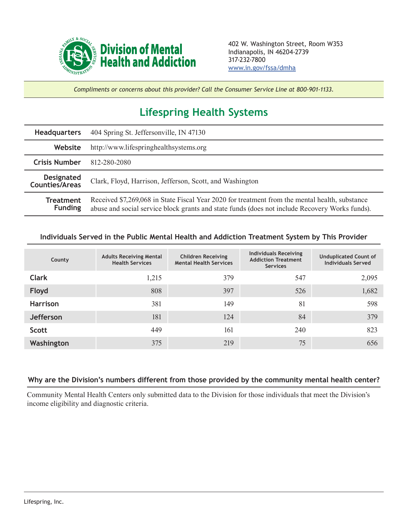

*Compliments or concerns about this provider? Call the Consumer Service Line at 800-901-1133.*

## **Lifespring Health Systems**

| <b>Headquarters</b>                        | 404 Spring St. Jeffersonville, IN 47130                                                                                                                                                          |  |  |  |
|--------------------------------------------|--------------------------------------------------------------------------------------------------------------------------------------------------------------------------------------------------|--|--|--|
| Website                                    | http://www.lifespringhealthsystems.org                                                                                                                                                           |  |  |  |
| <b>Crisis Number</b>                       | 812-280-2080                                                                                                                                                                                     |  |  |  |
| <b>Designated</b><br><b>Counties/Areas</b> | Clark, Floyd, Harrison, Jefferson, Scott, and Washington                                                                                                                                         |  |  |  |
| <b>Treatment</b><br><b>Funding</b>         | Received \$7,269,068 in State Fiscal Year 2020 for treatment from the mental health, substance<br>abuse and social service block grants and state funds (does not include Recovery Works funds). |  |  |  |

## **Individuals Served in the Public Mental Health and Addiction Treatment System by This Provider**

| County           | <b>Adults Receiving Mental</b><br><b>Health Services</b> | <b>Children Receiving</b><br><b>Mental Health Services</b> | <b>Individuals Receiving</b><br><b>Addiction Treatment</b><br><b>Services</b> | <b>Unduplicated Count of</b><br><b>Individuals Served</b> |
|------------------|----------------------------------------------------------|------------------------------------------------------------|-------------------------------------------------------------------------------|-----------------------------------------------------------|
| <b>Clark</b>     | 1,215                                                    | 379                                                        | 547                                                                           | 2,095                                                     |
| Floyd            | 808                                                      | 397                                                        | 526                                                                           | 1,682                                                     |
| <b>Harrison</b>  | 381                                                      | 149                                                        | 81                                                                            | 598                                                       |
| <b>Jefferson</b> | 181                                                      | 124                                                        | 84                                                                            | 379                                                       |
| Scott            | 449                                                      | 161                                                        | 240                                                                           | 823                                                       |
| Washington       | 375                                                      | 219                                                        | 75                                                                            | 656                                                       |

## **Why are the Division's numbers different from those provided by the community mental health center?**

Community Mental Health Centers only submitted data to the Division for those individuals that meet the Division's income eligibility and diagnostic criteria.